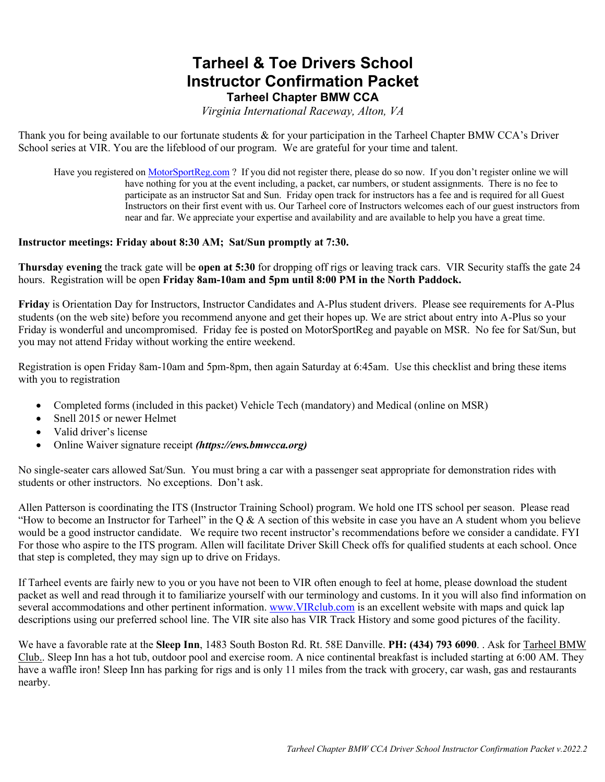### **Tarheel & Toe Drivers School Instructor Confirmation Packet Tarheel Chapter BMW CCA**

*Virginia International Raceway, Alton, VA*

Thank you for being available to our fortunate students & for your participation in the Tarheel Chapter BMW CCA's Driver School series at VIR. You are the lifeblood of our program. We are grateful for your time and talent.

Have you registered on MotorSportReg.com ? If you did not register there, please do so now. If you don't register online we will have nothing for you at the event including, a packet, car numbers, or student assignments. There is no fee to participate as an instructor Sat and Sun. Friday open track for instructors has a fee and is required for all Guest Instructors on their first event with us. Our Tarheel core of Instructors welcomes each of our guest instructors from near and far. We appreciate your expertise and availability and are available to help you have a great time.

#### **Instructor meetings: Friday about 8:30 AM; Sat/Sun promptly at 7:30.**

**Thursday evening** the track gate will be **open at 5:30** for dropping off rigs or leaving track cars. VIR Security staffs the gate 24 hours.Registration will be open **Friday 8am-10am and 5pm until 8:00 PM in the North Paddock.**

**Friday** is Orientation Day for Instructors, Instructor Candidates and A-Plus student drivers. Please see requirements for A-Plus students (on the web site) before you recommend anyone and get their hopes up. We are strict about entry into A-Plus so your Friday is wonderful and uncompromised. Friday fee is posted on MotorSportReg and payable on MSR. No fee for Sat/Sun, but you may not attend Friday without working the entire weekend.

Registration is open Friday 8am-10am and 5pm-8pm, then again Saturday at 6:45am. Use this checklist and bring these items with you to registration

- Completed forms (included in this packet) Vehicle Tech (mandatory) and Medical (online on MSR)
- Snell 2015 or newer Helmet
- Valid driver's license
- Online Waiver signature receipt *(https://ews.bmwcca.org)*

No single-seater cars allowed Sat/Sun. You must bring a car with a passenger seat appropriate for demonstration rides with students or other instructors. No exceptions. Don't ask.

Allen Patterson is coordinating the ITS (Instructor Training School) program. We hold one ITS school per season. Please read "How to become an Instructor for Tarheel" in the Q & A section of this website in case you have an A student whom you believe would be a good instructor candidate. We require two recent instructor's recommendations before we consider a candidate. FYI For those who aspire to the ITS program. Allen will facilitate Driver Skill Check offs for qualified students at each school. Once that step is completed, they may sign up to drive on Fridays.

If Tarheel events are fairly new to you or you have not been to VIR often enough to feel at home, please download the student packet as well and read through it to familiarize yourself with our terminology and customs. In it you will also find information on several accommodations and other pertinent information. www.VIRclub.com is an excellent website with maps and quick lap descriptions using our preferred school line. The VIR site also has VIR Track History and some good pictures of the facility.

We have a favorable rate at the **Sleep Inn**, 1483 South Boston Rd. Rt. 58E Danville. **PH: (434) 793 6090**. . Ask for Tarheel BMW Club.. Sleep Inn has a hot tub, outdoor pool and exercise room. A nice continental breakfast is included starting at 6:00 AM. They have a waffle iron! Sleep Inn has parking for rigs and is only 11 miles from the track with grocery, car wash, gas and restaurants nearby.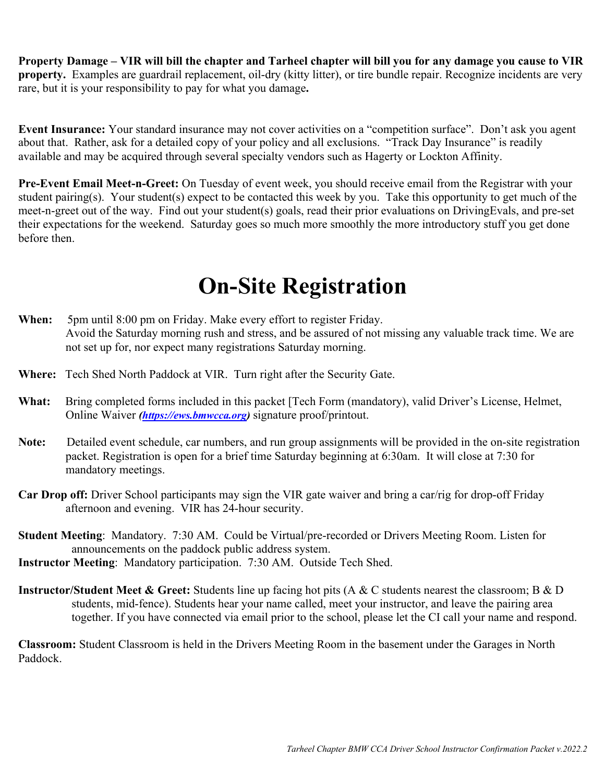**Property Damage – VIR will bill the chapter and Tarheel chapter will bill you for any damage you cause to VIR property.** Examples are guardrail replacement, oil-dry (kitty litter), or tire bundle repair. Recognize incidents are very rare, but it is your responsibility to pay for what you damage**.** 

**Event Insurance:** Your standard insurance may not cover activities on a "competition surface". Don't ask you agent about that. Rather, ask for a detailed copy of your policy and all exclusions. "Track Day Insurance" is readily available and may be acquired through several specialty vendors such as Hagerty or Lockton Affinity.

**Pre-Event Email Meet-n-Greet:** On Tuesday of event week, you should receive email from the Registrar with your student pairing(s). Your student(s) expect to be contacted this week by you. Take this opportunity to get much of the meet-n-greet out of the way. Find out your student(s) goals, read their prior evaluations on DrivingEvals, and pre-set their expectations for the weekend. Saturday goes so much more smoothly the more introductory stuff you get done before then.

## **On-Site Registration**

- **When:** 5pm until 8:00 pm on Friday. Make every effort to register Friday. Avoid the Saturday morning rush and stress, and be assured of not missing any valuable track time. We are not set up for, nor expect many registrations Saturday morning.
- **Where:** Tech Shed North Paddock at VIR. Turn right after the Security Gate.
- **What:** Bring completed forms included in this packet [Tech Form (mandatory), valid Driver's License, Helmet, Online Waiver *(https://ews.bmwcca.org)* signature proof/printout.
- **Note:** Detailed event schedule, car numbers, and run group assignments will be provided in the on-site registration packet. Registration is open for a brief time Saturday beginning at 6:30am. It will close at 7:30 for mandatory meetings.
- **Car Drop off:** Driver School participants may sign the VIR gate waiver and bring a car/rig for drop-off Friday afternoon and evening. VIR has 24-hour security.
- **Student Meeting**: Mandatory. 7:30 AM. Could be Virtual/pre-recorded or Drivers Meeting Room. Listen for announcements on the paddock public address system.
- **Instructor Meeting**: Mandatory participation. 7:30 AM. Outside Tech Shed.
- **Instructor/Student Meet & Greet:** Students line up facing hot pits (A & C students nearest the classroom; B & D students, mid-fence). Students hear your name called, meet your instructor, and leave the pairing area together. If you have connected via email prior to the school, please let the CI call your name and respond.

**Classroom:** Student Classroom is held in the Drivers Meeting Room in the basement under the Garages in North Paddock.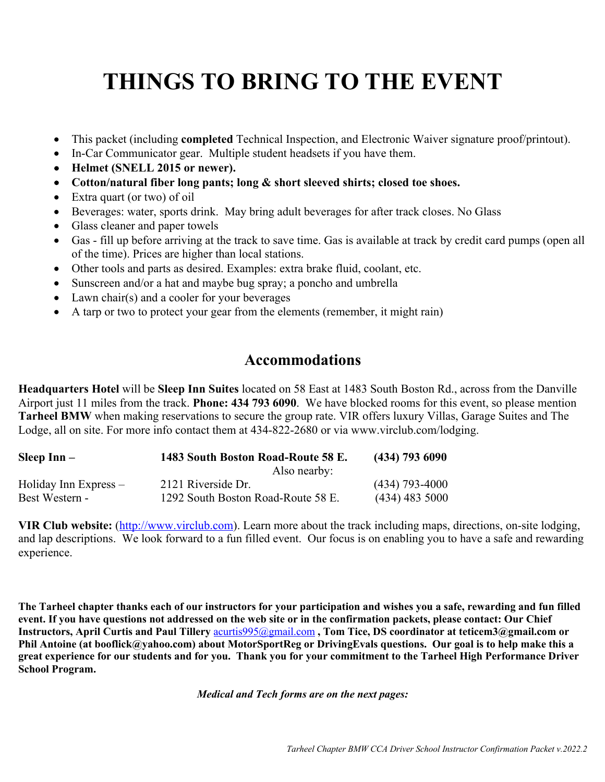# **THINGS TO BRING TO THE EVENT**

- This packet (including **completed** Technical Inspection, and Electronic Waiver signature proof/printout).
- In-Car Communicator gear. Multiple student headsets if you have them.
- **Helmet (SNELL 2015 or newer).**
- **Cotton/natural fiber long pants; long & short sleeved shirts; closed toe shoes.**
- Extra quart (or two) of oil
- Beverages: water, sports drink. May bring adult beverages for after track closes. No Glass
- Glass cleaner and paper towels
- Gas fill up before arriving at the track to save time. Gas is available at track by credit card pumps (open all of the time). Prices are higher than local stations.
- Other tools and parts as desired. Examples: extra brake fluid, coolant, etc.
- Sunscreen and/or a hat and maybe bug spray; a poncho and umbrella
- Lawn chair(s) and a cooler for your beverages
- A tarp or two to protect your gear from the elements (remember, it might rain)

### **Accommodations**

**Headquarters Hotel** will be **Sleep Inn Suites** located on 58 East at 1483 South Boston Rd., across from the Danville Airport just 11 miles from the track. **Phone: 434 793 6090**. We have blocked rooms for this event, so please mention **Tarheel BMW** when making reservations to secure the group rate. VIR offers luxury Villas, Garage Suites and The Lodge, all on site. For more info contact them at 434-822-2680 or via www.virclub.com/lodging.

| Sleep $Inn-$          | 1483 South Boston Road-Route 58 E. | $(434)$ 793 6090 |
|-----------------------|------------------------------------|------------------|
|                       | Also nearby:                       |                  |
| Holiday Inn Express – | 2121 Riverside Dr.                 | $(434)$ 793-4000 |
| Best Western -        | 1292 South Boston Road-Route 58 E. | $(434)$ 483 5000 |

**VIR Club website:** (http://www.virclub.com). Learn more about the track including maps, directions, on-site lodging, and lap descriptions. We look forward to a fun filled event. Our focus is on enabling you to have a safe and rewarding experience.

**The Tarheel chapter thanks each of our instructors for your participation and wishes you a safe, rewarding and fun filled event. If you have questions not addressed on the web site or in the confirmation packets, please contact: Our Chief Instructors, April Curtis and Paul Tillery** acurtis995@gmail.com **, Tom Tice, DS coordinator at teticem3@gmail.com or Phil Antoine (at booflick@yahoo.com) about MotorSportReg or DrivingEvals questions. Our goal is to help make this a great experience for our students and for you. Thank you for your commitment to the Tarheel High Performance Driver School Program.** 

*Medical and Tech forms are on the next pages:*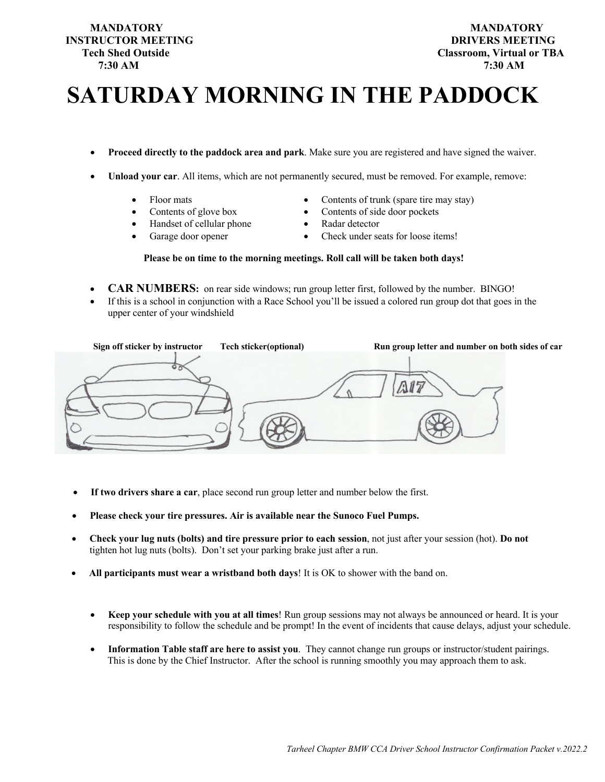## **INSTRUCTOR MEETING DRIVERS MEETING 7:30 AM 7:30 AM**

# **SATURDAY MORNING IN THE PADDOCK**

- **Proceed directly to the paddock area and park**. Make sure you are registered and have signed the waiver.
- **Unload your car**. All items, which are not permanently secured, must be removed. For example, remove:
	- Floor mats
	- Contents of glove box
	- Handset of cellular phone
	- Garage door opener
- Contents of trunk (spare tire may stay)
- Contents of side door pockets
- Radar detector
- Check under seats for loose items!

#### **Please be on time to the morning meetings. Roll call will be taken both days!**

- **CAR NUMBERS:** on rear side windows; run group letter first, followed by the number. BINGO!
- If this is a school in conjunction with a Race School you'll be issued a colored run group dot that goes in the upper center of your windshield

| Sign off sticker by instructor | Tech sticker(optional) | Run group letter and number on both sides of car |
|--------------------------------|------------------------|--------------------------------------------------|
|                                |                        |                                                  |

- **If two drivers share a car**, place second run group letter and number below the first.
- **Please check your tire pressures. Air is available near the Sunoco Fuel Pumps.**
- **Check your lug nuts (bolts) and tire pressure prior to each session**, not just after your session (hot). **Do not** tighten hot lug nuts (bolts). Don't set your parking brake just after a run.
- **All participants must wear a wristband both days**! It is OK to shower with the band on.
	- **Keep your schedule with you at all times**! Run group sessions may not always be announced or heard. It is your responsibility to follow the schedule and be prompt! In the event of incidents that cause delays, adjust your schedule.
	- **Information Table staff are here to assist you**. They cannot change run groups or instructor/student pairings. This is done by the Chief Instructor. After the school is running smoothly you may approach them to ask.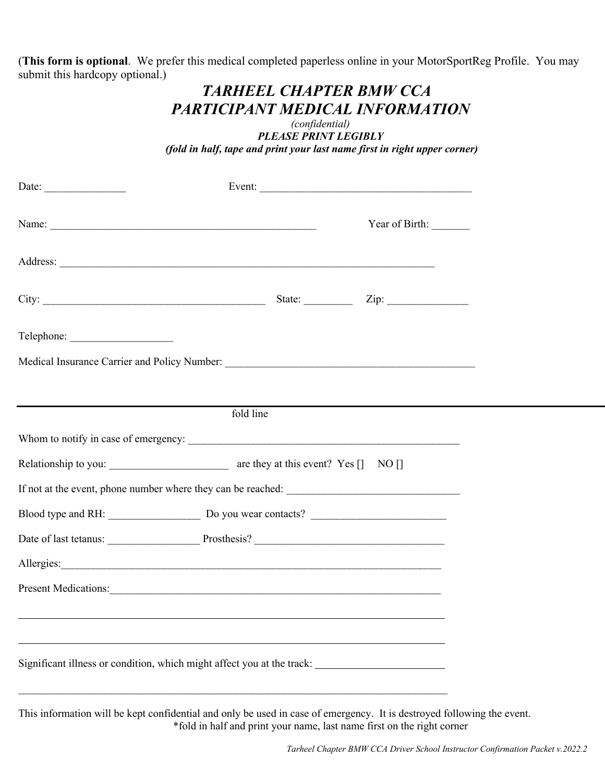(**This form is optional**. We prefer this medical completed paperless online in your MotorSportReg Profile. You may submit this hardcopy optional.)

### *TARHEEL CHAPTER BMW CCA PARTICIPANT MEDICAL INFORMATION*

*(confidential) PLEASE PRINT LEGIBLY (fold in half, tape and print your last name first in right upper corner)*

| Name:                                                                                                                                                                                                                          |           | Year of Birth: |  |
|--------------------------------------------------------------------------------------------------------------------------------------------------------------------------------------------------------------------------------|-----------|----------------|--|
|                                                                                                                                                                                                                                |           |                |  |
|                                                                                                                                                                                                                                |           |                |  |
|                                                                                                                                                                                                                                |           |                |  |
|                                                                                                                                                                                                                                |           |                |  |
|                                                                                                                                                                                                                                |           |                |  |
|                                                                                                                                                                                                                                | fold line |                |  |
|                                                                                                                                                                                                                                |           |                |  |
|                                                                                                                                                                                                                                |           |                |  |
|                                                                                                                                                                                                                                |           |                |  |
|                                                                                                                                                                                                                                |           |                |  |
|                                                                                                                                                                                                                                |           |                |  |
| Allergies: 1996. The Commission of the Commission of the Commission of the Commission of the Commission of the Commission of the Commission of the Commission of the Commission of the Commission of the Commission of the Com |           |                |  |
| Present Medications:                                                                                                                                                                                                           |           |                |  |
|                                                                                                                                                                                                                                |           |                |  |
|                                                                                                                                                                                                                                |           |                |  |
| Significant illness or condition, which might affect you at the track:                                                                                                                                                         |           |                |  |
|                                                                                                                                                                                                                                |           |                |  |

This information will be kept confidential and only be used in case of emergency. It is destroyed following the event. \*fold in half and print your name, last name first on the right corner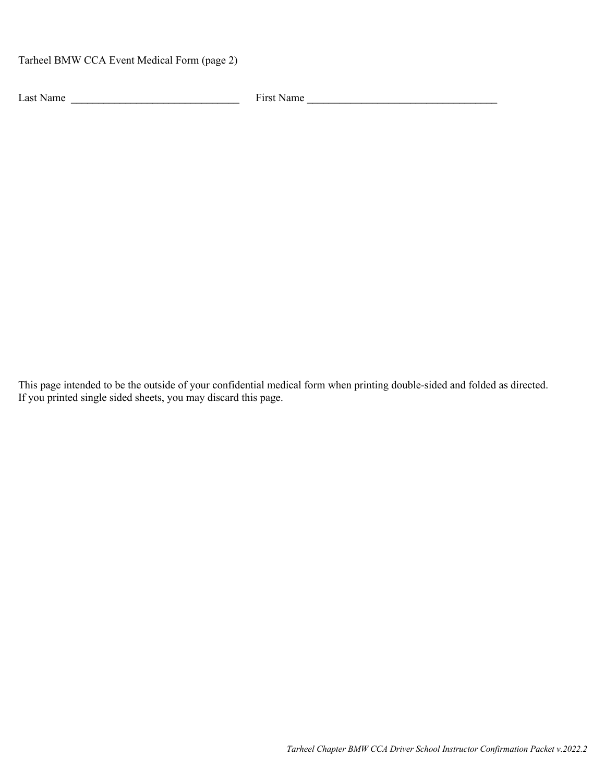Tarheel BMW CCA Event Medical Form (page 2)

Last Name  $\frac{1}{\sqrt{1-\frac{1}{2}}\sqrt{1-\frac{1}{2}}\sqrt{1-\frac{1}{2}}\sqrt{1-\frac{1}{2}}\sqrt{1-\frac{1}{2}}\sqrt{1-\frac{1}{2}}\sqrt{1-\frac{1}{2}}\sqrt{1-\frac{1}{2}}\sqrt{1-\frac{1}{2}}\sqrt{1-\frac{1}{2}}\sqrt{1-\frac{1}{2}}\sqrt{1-\frac{1}{2}}\sqrt{1-\frac{1}{2}}\sqrt{1-\frac{1}{2}}\sqrt{1-\frac{1}{2}}\sqrt{1-\frac{1}{2}}\sqrt{1-\frac{1}{2}}\sqrt{1-\frac{1}{2}}\sqrt{1-\frac{$ 

This page intended to be the outside of your confidential medical form when printing double-sided and folded as directed. If you printed single sided sheets, you may discard this page.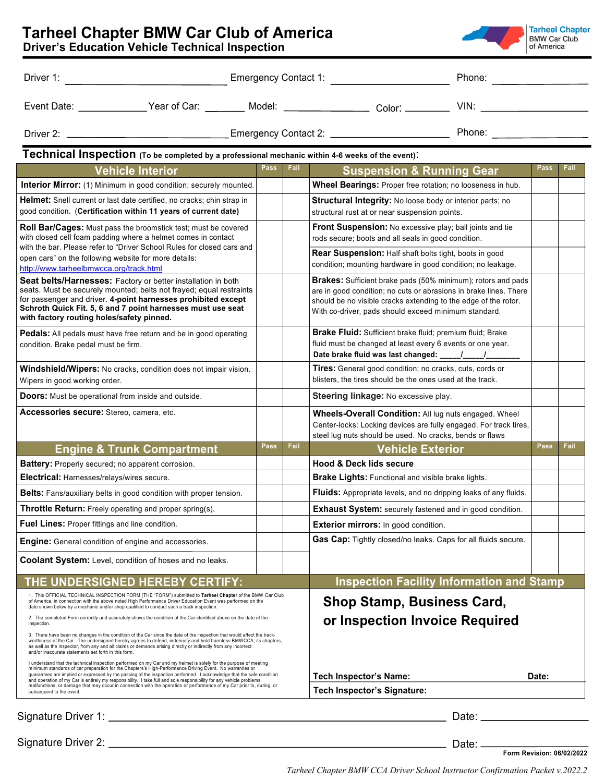|                                                                                                                                                                                                                                                                                                                                                                                                                                                                                                                                                                                                                                                                                                                                                                                                                                                                                   |             |      |                                                                                                                                                                                                                                                                     |       | Phone: National Assembly Phone: National Assembly |      |  |
|-----------------------------------------------------------------------------------------------------------------------------------------------------------------------------------------------------------------------------------------------------------------------------------------------------------------------------------------------------------------------------------------------------------------------------------------------------------------------------------------------------------------------------------------------------------------------------------------------------------------------------------------------------------------------------------------------------------------------------------------------------------------------------------------------------------------------------------------------------------------------------------|-------------|------|---------------------------------------------------------------------------------------------------------------------------------------------------------------------------------------------------------------------------------------------------------------------|-------|---------------------------------------------------|------|--|
| Event Date: _______________Year of Car: _________ Model: __________________ Color: __________ VIN: __________________                                                                                                                                                                                                                                                                                                                                                                                                                                                                                                                                                                                                                                                                                                                                                             |             |      |                                                                                                                                                                                                                                                                     |       |                                                   |      |  |
|                                                                                                                                                                                                                                                                                                                                                                                                                                                                                                                                                                                                                                                                                                                                                                                                                                                                                   |             |      |                                                                                                                                                                                                                                                                     |       |                                                   |      |  |
| Technical Inspection (To be completed by a professional mechanic within 4-6 weeks of the event).                                                                                                                                                                                                                                                                                                                                                                                                                                                                                                                                                                                                                                                                                                                                                                                  |             |      |                                                                                                                                                                                                                                                                     |       |                                                   |      |  |
| <b>Vehicle Interior</b>                                                                                                                                                                                                                                                                                                                                                                                                                                                                                                                                                                                                                                                                                                                                                                                                                                                           | Pass        | Fail | <b>Suspension &amp; Running Gear</b>                                                                                                                                                                                                                                |       | <b>Pass</b>                                       | Fail |  |
| Interior Mirror: (1) Minimum in good condition; securely mounted.                                                                                                                                                                                                                                                                                                                                                                                                                                                                                                                                                                                                                                                                                                                                                                                                                 |             |      | Wheel Bearings: Proper free rotation; no looseness in hub.                                                                                                                                                                                                          |       |                                                   |      |  |
| <b>Helmet:</b> Snell current or last date certified, no cracks; chin strap in<br>good condition. (Certification within 11 years of current date)                                                                                                                                                                                                                                                                                                                                                                                                                                                                                                                                                                                                                                                                                                                                  |             |      | <b>Structural Integrity:</b> No loose body or interior parts; no<br>structural rust at or near suspension points.                                                                                                                                                   |       |                                                   |      |  |
| <b>Roll Bar/Cages:</b> Must pass the broomstick test; must be covered<br>with closed cell foam padding where a helmet comes in contact                                                                                                                                                                                                                                                                                                                                                                                                                                                                                                                                                                                                                                                                                                                                            |             |      | Front Suspension: No excessive play; ball joints and tie<br>rods secure; boots and all seals in good condition.                                                                                                                                                     |       |                                                   |      |  |
| with the bar. Please refer to "Driver School Rules for closed cars and<br>open cars" on the following website for more details:<br>http://www.tarheelbmwcca.org/track.html                                                                                                                                                                                                                                                                                                                                                                                                                                                                                                                                                                                                                                                                                                        |             |      | <b>Rear Suspension:</b> Half shaft bolts tight, boots in good<br>condition; mounting hardware in good condition; no leakage.                                                                                                                                        |       |                                                   |      |  |
| Seat belts/Harnesses: Factory or better installation in both<br>seats. Must be securely mounted; belts not frayed; equal restraints<br>for passenger and driver. 4-point harnesses prohibited except<br>Schroth Quick Fit. 5, 6 and 7 point harnesses must use seat<br>with factory routing holes/safety pinned.                                                                                                                                                                                                                                                                                                                                                                                                                                                                                                                                                                  |             |      | <b>Brakes:</b> Sufficient brake pads (50% minimum); rotors and pads<br>are in good condition; no cuts or abrasions in brake lines. There<br>should be no visible cracks extending to the edge of the rotor.<br>With co-driver, pads should exceed minimum standard. |       |                                                   |      |  |
| <b>Pedals:</b> All pedals must have free return and be in good operating<br>condition. Brake pedal must be firm.                                                                                                                                                                                                                                                                                                                                                                                                                                                                                                                                                                                                                                                                                                                                                                  |             |      | Brake Fluid: Sufficient brake fluid; premium fluid; Brake<br>fluid must be changed at least every 6 events or one year.                                                                                                                                             |       |                                                   |      |  |
| Windshield/Wipers: No cracks, condition does not impair vision.<br>Wipers in good working order.                                                                                                                                                                                                                                                                                                                                                                                                                                                                                                                                                                                                                                                                                                                                                                                  |             |      | Tires: General good condition; no cracks, cuts, cords or<br>blisters, the tires should be the ones used at the track.                                                                                                                                               |       |                                                   |      |  |
| <b>Doors:</b> Must be operational from inside and outside.                                                                                                                                                                                                                                                                                                                                                                                                                                                                                                                                                                                                                                                                                                                                                                                                                        |             |      | Steering linkage: No excessive play.                                                                                                                                                                                                                                |       |                                                   |      |  |
| Accessories secure: Stereo, camera, etc.                                                                                                                                                                                                                                                                                                                                                                                                                                                                                                                                                                                                                                                                                                                                                                                                                                          |             |      | Wheels-Overall Condition: All lug nuts engaged. Wheel<br>Center-locks: Locking devices are fully engaged. For track tires,<br>steel lug nuts should be used. No cracks, bends or flaws                                                                              |       |                                                   |      |  |
| <b>Engine &amp; Trunk Compartment</b>                                                                                                                                                                                                                                                                                                                                                                                                                                                                                                                                                                                                                                                                                                                                                                                                                                             | <b>Pass</b> | Fail | <b>Vehicle Exterior</b>                                                                                                                                                                                                                                             |       | <b>Pass</b>                                       | Fail |  |
| Battery: Properly secured; no apparent corrosion.                                                                                                                                                                                                                                                                                                                                                                                                                                                                                                                                                                                                                                                                                                                                                                                                                                 |             |      | <b>Hood &amp; Deck lids secure</b>                                                                                                                                                                                                                                  |       |                                                   |      |  |
| Electrical: Harnesses/relays/wires secure.                                                                                                                                                                                                                                                                                                                                                                                                                                                                                                                                                                                                                                                                                                                                                                                                                                        |             |      | Brake Lights: Functional and visible brake lights.                                                                                                                                                                                                                  |       |                                                   |      |  |
| Belts: Fans/auxiliary belts in good condition with proper tension.                                                                                                                                                                                                                                                                                                                                                                                                                                                                                                                                                                                                                                                                                                                                                                                                                |             |      | Fluids: Appropriate levels, and no dripping leaks of any fluids.                                                                                                                                                                                                    |       |                                                   |      |  |
| Throttle Return: Freely operating and proper spring(s).                                                                                                                                                                                                                                                                                                                                                                                                                                                                                                                                                                                                                                                                                                                                                                                                                           |             |      | Exhaust System: securely fastened and in good condition.                                                                                                                                                                                                            |       |                                                   |      |  |
| Fuel Lines: Proper fittings and line condition.                                                                                                                                                                                                                                                                                                                                                                                                                                                                                                                                                                                                                                                                                                                                                                                                                                   |             |      | <b>Exterior mirrors:</b> In good condition.                                                                                                                                                                                                                         |       |                                                   |      |  |
| <b>Engine:</b> General condition of engine and accessories.                                                                                                                                                                                                                                                                                                                                                                                                                                                                                                                                                                                                                                                                                                                                                                                                                       |             |      | Gas Cap: Tightly closed/no leaks. Caps for all fluids secure.                                                                                                                                                                                                       |       |                                                   |      |  |
| Coolant System: Level, condition of hoses and no leaks.                                                                                                                                                                                                                                                                                                                                                                                                                                                                                                                                                                                                                                                                                                                                                                                                                           |             |      |                                                                                                                                                                                                                                                                     |       |                                                   |      |  |
| THE UNDERSIGNED HEREBY CERTIFY:                                                                                                                                                                                                                                                                                                                                                                                                                                                                                                                                                                                                                                                                                                                                                                                                                                                   |             |      | <b>Inspection Facility Information and Stamp</b>                                                                                                                                                                                                                    |       |                                                   |      |  |
| 1. This OFFICIAL TECHNICAL INSPECTION FORM (THE "FORM") submitted to Tarheel Chapter of the BMW Car Club<br>of America, in connection with the above noted High Performance Driver Education Event was performed on the<br>date shown below by a mechanic and/or shop qualified to conduct such a track inspection.<br>2. The completed Form correctly and accurately shows the condition of the Car identified above on the date of the<br>inspection.<br>3. There have been no changes in the condition of the Car since the date of the inspection that would affect the track-<br>worthiness of the Car. The undersigned hereby agrees to defend, indemnify and hold harmless BMWCCA, its chapters,<br>as well as the inspector, from any and all claims or demands arising directly or indirectly from any incorrect<br>and/or inaccurate statements set forth in this form. |             |      | <b>Shop Stamp, Business Card,</b><br>or Inspection Invoice Required                                                                                                                                                                                                 |       |                                                   |      |  |
| I understand that the technical inspection performed on my Car and my helmet is solely for the purpose of meeting<br>minimum standards of car preparation for the Chapters's High-Performance Driving Event. No warranties or<br>guarantees are implied or expressed by the passing of the inspection performed. I acknowledge that the safe condition<br>and operation of my Car is entirely my responsibility. I take full and sole responsibility for any vehicle problems,<br>malfunctions, or damage that may occur in connection with the operation or performance of my Car prior to, during, or<br>subsequent to the event.                                                                                                                                                                                                                                               |             |      | Tech Inspector's Name:<br><b>Tech Inspector's Signature:</b>                                                                                                                                                                                                        |       | Date:                                             |      |  |
| Signature Driver 1: ____                                                                                                                                                                                                                                                                                                                                                                                                                                                                                                                                                                                                                                                                                                                                                                                                                                                          |             |      |                                                                                                                                                                                                                                                                     | Date: |                                                   |      |  |

| Signature Driver 2: |  |
|---------------------|--|
|---------------------|--|

 $\_$  Date:  $\_$ **Form Revision: 06/02/2022**

*Tarheel Chapter BMW CCA Driver School Instructor Confirmation Packet v.2022.2*

| <b>Tarheel Chapter BMW Car Club of America</b> |  |  |  |
|------------------------------------------------|--|--|--|
| Depende Education Vabiale Technical Increation |  |  |  |

**Driver's Education Vehicle Technical Inspection** 

| <b>Tarheel Chapter BMW Car Club of America</b>  |  |
|-------------------------------------------------|--|
| Drivar's Education Vehicle Technical Increation |  |